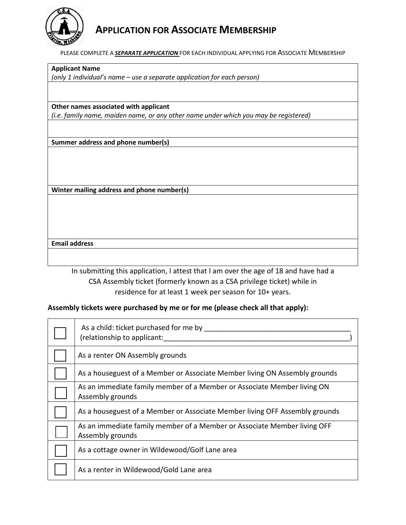

# **APPLICATION FOR ASSOCIATE MEMBERSHIP**

PLEASE COMPLETE A *SEPARATE APPLICATION* FOR EACH INDIVIDUAL APPLYING FOR ASSOCIATE MEMBERSHIP

**Applicant Name** 

*(only 1 individual's name – use a separate application for each person)*

**Other names associated with applicant**

*(i.e. family name, maiden name, or any other name under which you may be registered)*

**Summer address and phone number(s)**

**Winter mailing address and phone number(s)**

#### **Email address**

In submitting this application, I attest that I am over the age of 18 and have had a CSA Assembly ticket (formerly known as a CSA privilege ticket) while in residence for at least 1 week per season for 10+ years.

#### **Assembly tickets were purchased by me or for me (please check all that apply):**

| As a child: ticket purchased for me by<br>(relationship to applicant:                        |
|----------------------------------------------------------------------------------------------|
| As a renter ON Assembly grounds                                                              |
| As a houseguest of a Member or Associate Member living ON Assembly grounds                   |
| As an immediate family member of a Member or Associate Member living ON<br>Assembly grounds  |
| As a houseguest of a Member or Associate Member living OFF Assembly grounds                  |
| As an immediate family member of a Member or Associate Member living OFF<br>Assembly grounds |
| As a cottage owner in Wildewood/Golf Lane area                                               |
| As a renter in Wildewood/Gold Lane area                                                      |